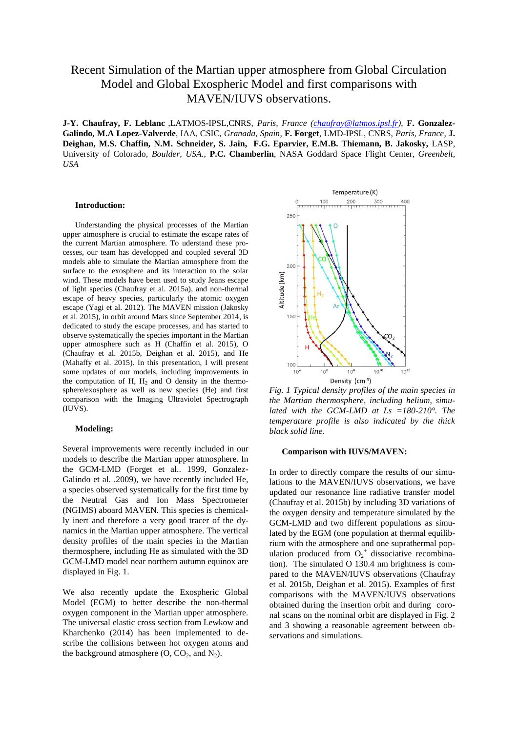# Recent Simulation of the Martian upper atmosphere from Global Circulation Model and Global Exospheric Model and first comparisons with MAVEN/IUVS observations.

**J-Y. Chaufray, F. Leblanc** ,LATMOS-IPSL,CNRS, *Paris, France [\(chaufray@latmos.ipsl.fr\)](mailto:chaufray@latmos.ipsl.fr)*, **F. Gonzalez-Galindo, M.A Lopez-Valverde**, IAA, CSIC, *Granada, Spain*, **F. Forget**, LMD-IPSL, CNRS, *Paris, France*, **J. Deighan, M.S. Chaffin, N.M. Schneider, S. Jain, F.G. Eparvier, E.M.B. Thiemann, B. Jakosky,** LASP, University of Colorado*, Boulder, USA*., **P.C. Chamberlin**, NASA Goddard Space Flight Center, *Greenbelt, USA*

### **Introduction:**

Understanding the physical processes of the Martian upper atmosphere is crucial to estimate the escape rates of the current Martian atmosphere. To uderstand these processes, our team has developped and coupled several 3D models able to simulate the Martian atmosphere from the surface to the exosphere and its interaction to the solar wind. These models have been used to study Jeans escape of light species (Chaufray et al. 2015a), and non-thermal escape of heavy species, particularly the atomic oxygen escape (Yagi et al. 2012). The MAVEN mission (Jakosky et al. 2015), in orbit around Mars since September 2014, is dedicated to study the escape processes, and has started to observe systematically the species important in the Martian upper atmosphere such as H (Chaffin et al. 2015), O (Chaufray et al. 2015b, Deighan et al. 2015), and He (Mahaffy et al. 2015). In this presentation, I will present some updates of our models, including improvements in the computation of H,  $H_2$  and O density in the thermosphere/exosphere as well as new species (He) and first comparison with the Imaging Ultraviolet Spectrograph (IUVS).

## **Modeling:**

Several improvements were recently included in our models to describe the Martian upper atmosphere. In the GCM-LMD (Forget et al.. 1999, Gonzalez-Galindo et al. .2009), we have recently included He, a species observed systematically for the first time by the Neutral Gas and Ion Mass Spectrometer (NGIMS) aboard MAVEN. This species is chemically inert and therefore a very good tracer of the dynamics in the Martian upper atmosphere. The vertical density profiles of the main species in the Martian thermosphere, including He as simulated with the 3D GCM-LMD model near northern autumn equinox are displayed in Fig. 1.

We also recently update the Exospheric Global Model (EGM) to better describe the non-thermal oxygen component in the Martian upper atmosphere. The universal elastic cross section from Lewkow and Kharchenko (2014) has been implemented to describe the collisions between hot oxygen atoms and the background atmosphere  $(O, CO<sub>2</sub>, and N<sub>2</sub>)$ .



*Fig. 1 Typical density profiles of the main species in the Martian thermosphere, including helium, simulated with the GCM-LMD at Ls =180-210°. The temperature profile is also indicated by the thick black solid line.*

## **Comparison with IUVS/MAVEN:**

In order to directly compare the results of our simulations to the MAVEN/IUVS observations, we have updated our resonance line radiative transfer model (Chaufray et al. 2015b) by including 3D variations of the oxygen density and temperature simulated by the GCM-LMD and two different populations as simulated by the EGM (one population at thermal equilibrium with the atmosphere and one suprathermal population produced from  $O_2^+$  dissociative recombination). The simulated O 130.4 nm brightness is compared to the MAVEN/IUVS observations (Chaufray et al. 2015b, Deighan et al. 2015). Examples of first comparisons with the MAVEN/IUVS observations obtained during the insertion orbit and during coronal scans on the nominal orbit are displayed in Fig. 2 and 3 showing a reasonable agreement between observations and simulations.